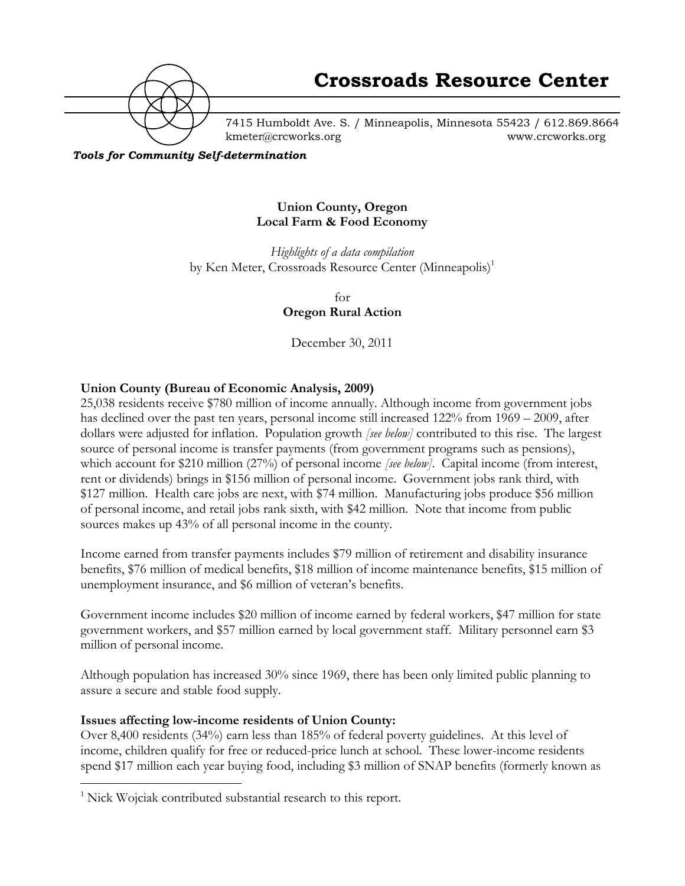

7415 Humboldt Ave. S. / Minneapolis, Minnesota 55423 / 612.869.8664 kmeter@crcworks.org www.crcworks.org

*Tools for Community Self-determination*

#### **Union County, Oregon Local Farm & Food Economy**

*Highlights of a data compilation* by Ken Meter, Crossroads Resource Center (Minneapolis)<sup>1</sup>

> for **Oregon Rural Action**

December 30, 2011

# **Union County (Bureau of Economic Analysis, 2009)**

25,038 residents receive \$780 million of income annually. Although income from government jobs has declined over the past ten years, personal income still increased 122% from 1969 – 2009, after dollars were adjusted for inflation. Population growth *[see below]* contributed to this rise. The largest source of personal income is transfer payments (from government programs such as pensions), which account for \$210 million (27%) of personal income *[see below]*. Capital income (from interest, rent or dividends) brings in \$156 million of personal income. Government jobs rank third, with \$127 million. Health care jobs are next, with \$74 million. Manufacturing jobs produce \$56 million of personal income, and retail jobs rank sixth, with \$42 million. Note that income from public sources makes up 43% of all personal income in the county.

Income earned from transfer payments includes \$79 million of retirement and disability insurance benefits, \$76 million of medical benefits, \$18 million of income maintenance benefits, \$15 million of unemployment insurance, and \$6 million of veteran's benefits.

Government income includes \$20 million of income earned by federal workers, \$47 million for state government workers, and \$57 million earned by local government staff. Military personnel earn \$3 million of personal income.

Although population has increased 30% since 1969, there has been only limited public planning to assure a secure and stable food supply.

# **Issues affecting low-income residents of Union County:**

Over 8,400 residents (34%) earn less than 185% of federal poverty guidelines. At this level of income, children qualify for free or reduced-price lunch at school. These lower-income residents spend \$17 million each year buying food, including \$3 million of SNAP benefits (formerly known as

 $\frac{1}{1}$  $\frac{1}{1}$  Nick Wojciak contributed substantial research to this report.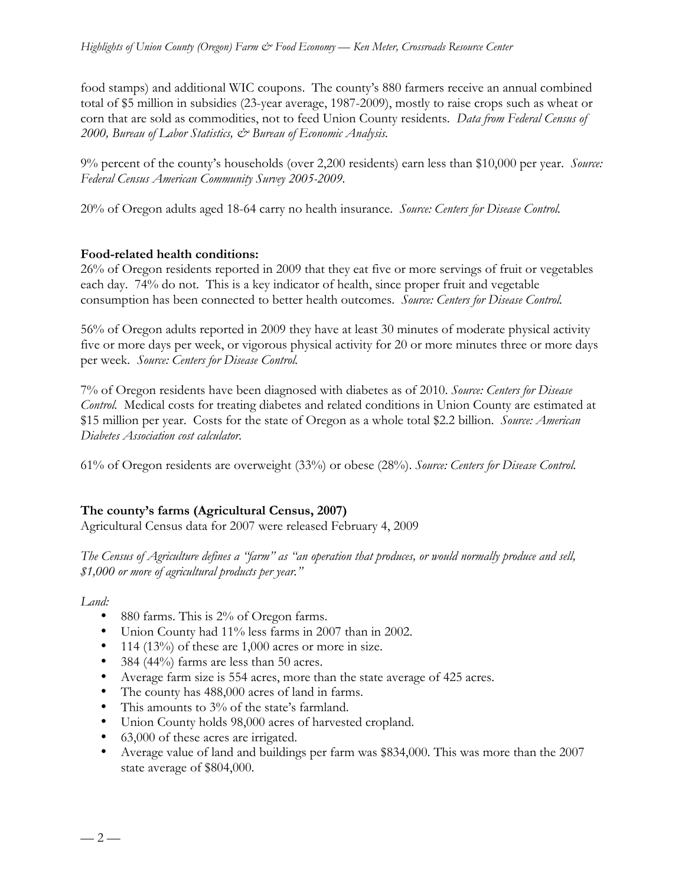food stamps) and additional WIC coupons. The county's 880 farmers receive an annual combined total of \$5 million in subsidies (23-year average, 1987-2009), mostly to raise crops such as wheat or corn that are sold as commodities, not to feed Union County residents. *Data from Federal Census of 2000, Bureau of Labor Statistics, & Bureau of Economic Analysis.*

9% percent of the county's households (over 2,200 residents) earn less than \$10,000 per year. *Source: Federal Census American Community Survey 2005-2009.*

20% of Oregon adults aged 18-64 carry no health insurance. *Source: Centers for Disease Control.*

## **Food-related health conditions:**

26% of Oregon residents reported in 2009 that they eat five or more servings of fruit or vegetables each day. 74% do not. This is a key indicator of health, since proper fruit and vegetable consumption has been connected to better health outcomes. *Source: Centers for Disease Control.*

56% of Oregon adults reported in 2009 they have at least 30 minutes of moderate physical activity five or more days per week, or vigorous physical activity for 20 or more minutes three or more days per week. *Source: Centers for Disease Control.*

7% of Oregon residents have been diagnosed with diabetes as of 2010. *Source: Centers for Disease Control.* Medical costs for treating diabetes and related conditions in Union County are estimated at \$15 million per year. Costs for the state of Oregon as a whole total \$2.2 billion. *Source: American Diabetes Association cost calculator.*

61% of Oregon residents are overweight (33%) or obese (28%). *Source: Centers for Disease Control.*

# **The county's farms (Agricultural Census, 2007)**

Agricultural Census data for 2007 were released February 4, 2009

*The Census of Agriculture defines a "farm" as "an operation that produces, or would normally produce and sell, \$1,000 or more of agricultural products per year."*

*Land:*

- 880 farms. This is 2% of Oregon farms.
- Union County had 11% less farms in 2007 than in 2002.
- 114 (13%) of these are 1,000 acres or more in size.
- 384 (44%) farms are less than 50 acres.
- Average farm size is 554 acres, more than the state average of 425 acres.
- The county has 488,000 acres of land in farms.
- This amounts to 3% of the state's farmland.
- Union County holds 98,000 acres of harvested cropland.
- 63,000 of these acres are irrigated.
- Average value of land and buildings per farm was \$834,000. This was more than the 2007 state average of \$804,000.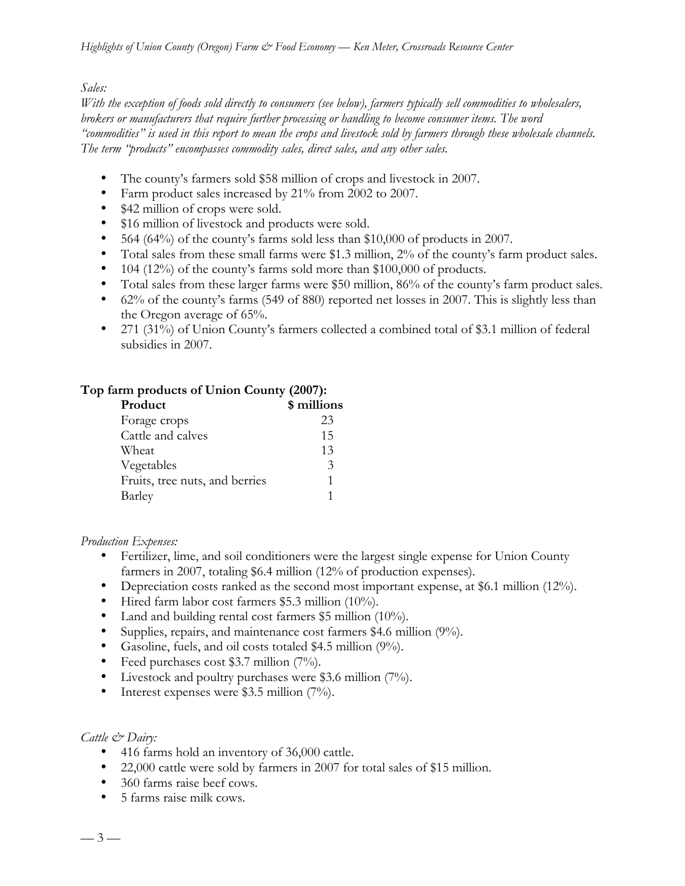# *Sales:*

*With the exception of foods sold directly to consumers (see below), farmers typically sell commodities to wholesalers, brokers or manufacturers that require further processing or handling to become consumer items. The word "commodities" is used in this report to mean the crops and livestock sold by farmers through these wholesale channels. The term "products" encompasses commodity sales, direct sales, and any other sales.*

- The county's farmers sold \$58 million of crops and livestock in 2007.
- Farm product sales increased by 21% from 2002 to 2007.
- \$42 million of crops were sold.
- \$16 million of livestock and products were sold.
- 564 (64%) of the county's farms sold less than \$10,000 of products in 2007.
- Total sales from these small farms were \$1.3 million, 2% of the county's farm product sales.
- 104 (12%) of the county's farms sold more than \$100,000 of products.
- Total sales from these larger farms were \$50 million, 86% of the county's farm product sales.
- 62% of the county's farms (549 of 880) reported net losses in 2007. This is slightly less than the Oregon average of 65%.
- 271 (31%) of Union County's farmers collected a combined total of \$3.1 million of federal subsidies in 2007.

|  | Top farm products of Union County (2007): |  |  |
|--|-------------------------------------------|--|--|
|  |                                           |  |  |

| Product                        | \$ millions |
|--------------------------------|-------------|
| Forage crops                   | 23          |
| Cattle and calves              | 15          |
| Wheat                          | 13          |
| Vegetables                     | 3           |
| Fruits, tree nuts, and berries | 1           |
| Barley                         |             |

*Production Expenses:*

- Fertilizer, lime, and soil conditioners were the largest single expense for Union County farmers in 2007, totaling \$6.4 million (12% of production expenses).
- Depreciation costs ranked as the second most important expense, at \$6.1 million (12%).
- Hired farm labor cost farmers \$5.3 million (10%).
- Land and building rental cost farmers \$5 million (10%).
- Supplies, repairs, and maintenance cost farmers \$4.6 million (9%).
- Gasoline, fuels, and oil costs totaled \$4.5 million (9%).
- Feed purchases cost \$3.7 million (7%).
- Livestock and poultry purchases were \$3.6 million (7%).
- Interest expenses were \$3.5 million (7%).

# *Cattle & Dairy:*

- 416 farms hold an inventory of 36,000 cattle.
- 22,000 cattle were sold by farmers in 2007 for total sales of \$15 million.
- 360 farms raise beef cows.
- 5 farms raise milk cows.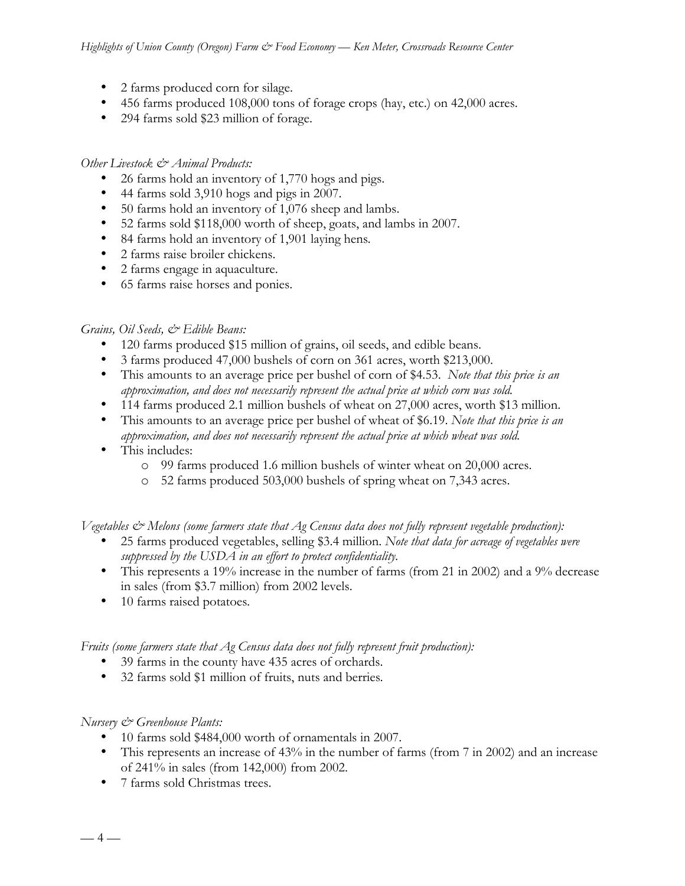- 2 farms produced corn for silage.
- 456 farms produced 108,000 tons of forage crops (hay, etc.) on 42,000 acres.
- 294 farms sold \$23 million of forage.

# *Other Livestock & Animal Products:*

- 26 farms hold an inventory of 1,770 hogs and pigs.
- 44 farms sold 3,910 hogs and pigs in 2007.
- 50 farms hold an inventory of 1,076 sheep and lambs.
- 52 farms sold \$118,000 worth of sheep, goats, and lambs in 2007.
- 84 farms hold an inventory of 1,901 laying hens*.*
- 2 farms raise broiler chickens.
- 2 farms engage in aquaculture.
- 65 farms raise horses and ponies.

# *Grains, Oil Seeds, & Edible Beans:*

- 120 farms produced \$15 million of grains, oil seeds, and edible beans.
- 3 farms produced 47,000 bushels of corn on 361 acres, worth \$213,000.
- This amounts to an average price per bushel of corn of \$4.53. *Note that this price is an approximation, and does not necessarily represent the actual price at which corn was sold.*
- 114 farms produced 2.1 million bushels of wheat on 27,000 acres, worth \$13 million.
- This amounts to an average price per bushel of wheat of \$6.19. *Note that this price is an approximation, and does not necessarily represent the actual price at which wheat was sold.*
- This includes:
	- o 99 farms produced 1.6 million bushels of winter wheat on 20,000 acres.
	- o 52 farms produced 503,000 bushels of spring wheat on 7,343 acres.

*Vegetables & Melons (some farmers state that Ag Census data does not fully represent vegetable production):*

- 25 farms produced vegetables, selling \$3.4 million. *Note that data for acreage of vegetables were suppressed by the USDA in an effort to protect confidentiality.*
- This represents a 19% increase in the number of farms (from 21 in 2002) and a 9% decrease in sales (from \$3.7 million) from 2002 levels.
- 10 farms raised potatoes*.*

*Fruits (some farmers state that Ag Census data does not fully represent fruit production):*

- 39 farms in the county have 435 acres of orchards.
- 32 farms sold \$1 million of fruits, nuts and berries*.*

# *Nursery & Greenhouse Plants:*

- 10 farms sold \$484,000 worth of ornamentals in 2007.
- This represents an increase of 43% in the number of farms (from 7 in 2002) and an increase of 241% in sales (from 142,000) from 2002.
- 7 farms sold Christmas trees.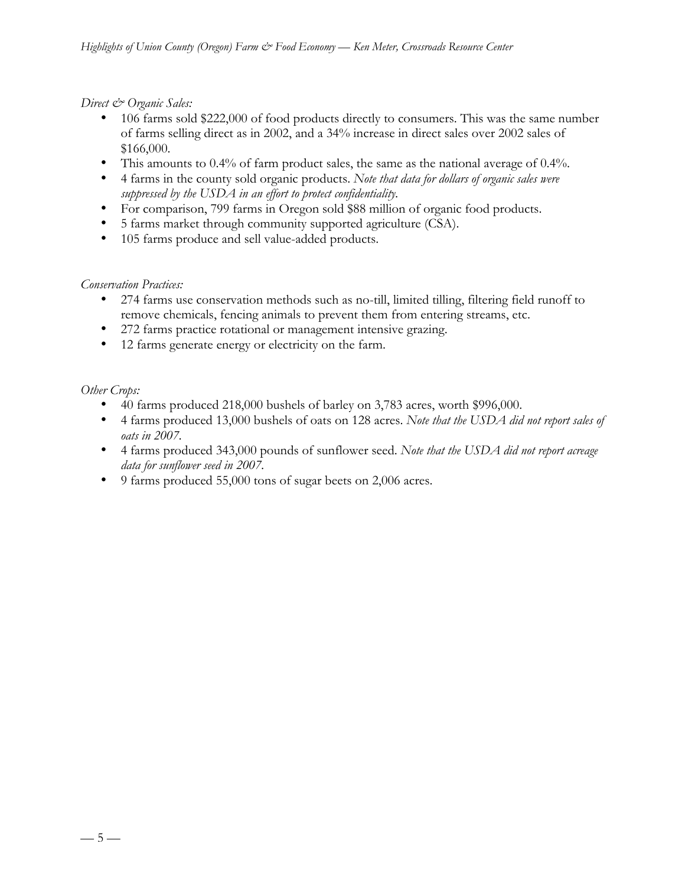## *Direct & Organic Sales:*

- 106 farms sold \$222,000 of food products directly to consumers. This was the same number of farms selling direct as in 2002, and a 34% increase in direct sales over 2002 sales of \$166,000.
- This amounts to 0.4% of farm product sales, the same as the national average of 0.4%.
- 4 farms in the county sold organic products. *Note that data for dollars of organic sales were suppressed by the USDA in an effort to protect confidentiality.*
- For comparison, 799 farms in Oregon sold \$88 million of organic food products.
- 5 farms market through community supported agriculture (CSA).
- 105 farms produce and sell value-added products.

## *Conservation Practices:*

- 274 farms use conservation methods such as no-till, limited tilling, filtering field runoff to remove chemicals, fencing animals to prevent them from entering streams, etc.
- 272 farms practice rotational or management intensive grazing.
- 12 farms generate energy or electricity on the farm.

## *Other Crops:*

- 40 farms produced 218,000 bushels of barley on 3,783 acres, worth \$996,000.
- 4 farms produced 13,000 bushels of oats on 128 acres. *Note that the USDA did not report sales of oats in 2007.*
- 4 farms produced 343,000 pounds of sunflower seed. *Note that the USDA did not report acreage data for sunflower seed in 2007.*
- 9 farms produced 55,000 tons of sugar beets on 2,006 acres.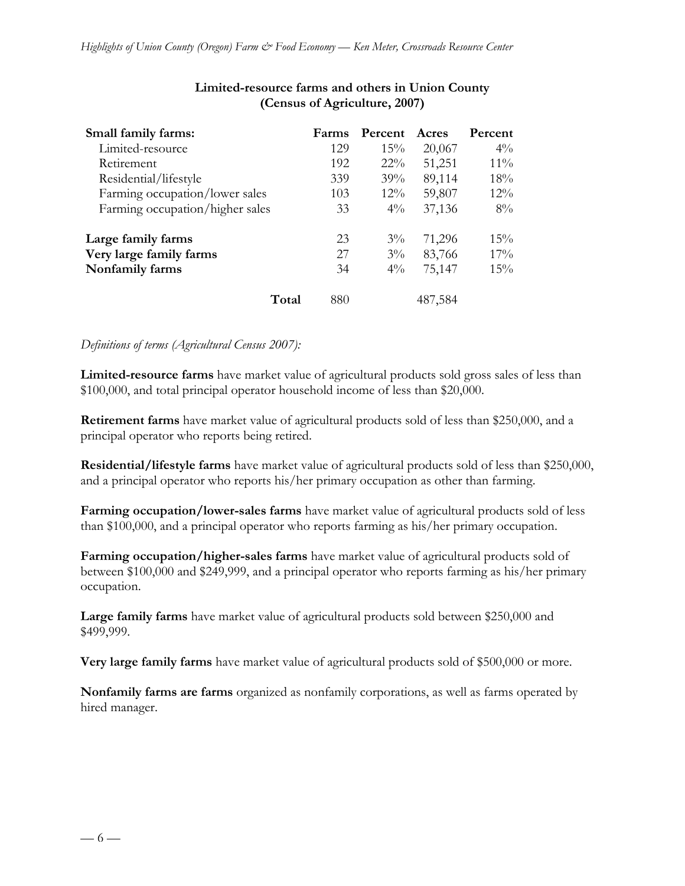| Small family farms:             | Farms | Percent | Acres   | Percent |
|---------------------------------|-------|---------|---------|---------|
| Limited-resource                | 129   | 15%     | 20,067  | $4\%$   |
| Retirement                      | 192   | $22\%$  | 51,251  | $11\%$  |
| Residential/lifestyle           | 339   | 39%     | 89,114  | 18%     |
| Farming occupation/lower sales  | 103   | $12\%$  | 59,807  | 12%     |
| Farming occupation/higher sales | 33    | $4\%$   | 37,136  | 8%      |
| Large family farms              | 23    | $3\%$   | 71,296  | 15%     |
| Very large family farms         | 27    | $3\%$   | 83,766  | 17%     |
| Nonfamily farms                 | 34    | $4\%$   | 75,147  | 15%     |
| Total                           | 880   |         | 487,584 |         |

# **Limited-resource farms and others in Union County (Census of Agriculture, 2007)**

## *Definitions of terms (Agricultural Census 2007):*

**Limited-resource farms** have market value of agricultural products sold gross sales of less than \$100,000, and total principal operator household income of less than \$20,000.

**Retirement farms** have market value of agricultural products sold of less than \$250,000, and a principal operator who reports being retired.

**Residential/lifestyle farms** have market value of agricultural products sold of less than \$250,000, and a principal operator who reports his/her primary occupation as other than farming.

**Farming occupation/lower-sales farms** have market value of agricultural products sold of less than \$100,000, and a principal operator who reports farming as his/her primary occupation.

**Farming occupation/higher-sales farms** have market value of agricultural products sold of between \$100,000 and \$249,999, and a principal operator who reports farming as his/her primary occupation.

**Large family farms** have market value of agricultural products sold between \$250,000 and \$499,999.

**Very large family farms** have market value of agricultural products sold of \$500,000 or more.

**Nonfamily farms are farms** organized as nonfamily corporations, as well as farms operated by hired manager.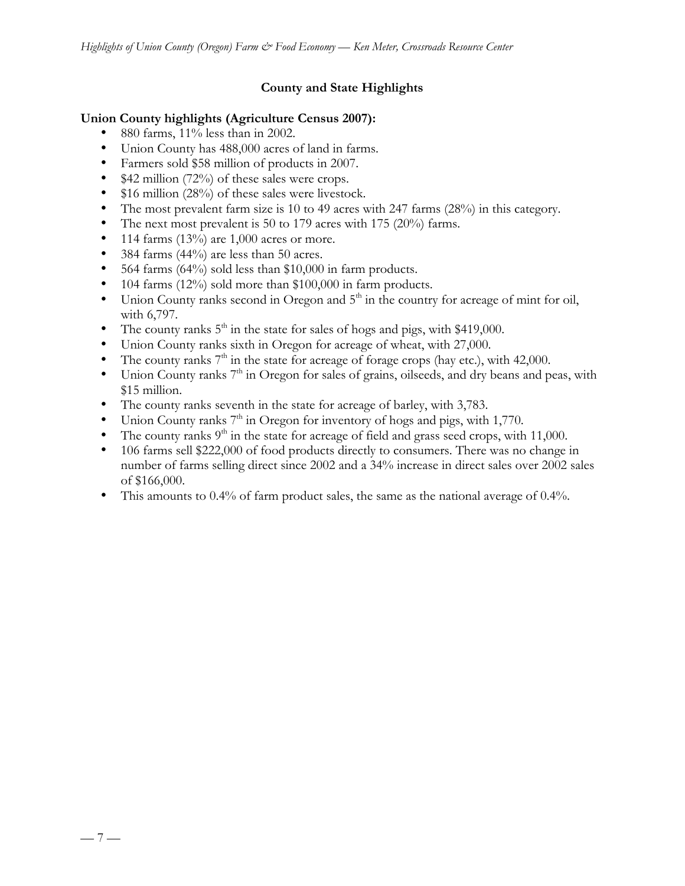# **County and State Highlights**

# **Union County highlights (Agriculture Census 2007):**

- 880 farms, 11% less than in 2002.
- Union County has 488,000 acres of land in farms.
- Farmers sold \$58 million of products in 2007.
- \$42 million (72%) of these sales were crops.
- \$16 million (28%) of these sales were livestock.
- The most prevalent farm size is 10 to 49 acres with 247 farms (28%) in this category.
- The next most prevalent is 50 to 179 acres with 175 (20%) farms.
- 114 farms  $(13\%)$  are 1,000 acres or more.
- 384 farms (44%) are less than 50 acres.
- 564 farms (64%) sold less than \$10,000 in farm products.
- 104 farms (12%) sold more than \$100,000 in farm products.
- Union County ranks second in Oregon and  $5<sup>th</sup>$  in the country for acreage of mint for oil, with 6,797.
- The county ranks  $5<sup>th</sup>$  in the state for sales of hogs and pigs, with \$419,000.
- Union County ranks sixth in Oregon for acreage of wheat, with 27,000.
- The county ranks  $7<sup>th</sup>$  in the state for acreage of forage crops (hay etc.), with 42,000.
- Union County ranks  $7<sup>th</sup>$  in Oregon for sales of grains, oilseeds, and dry beans and peas, with \$15 million.
- The county ranks seventh in the state for acreage of barley, with 3,783.
- Union County ranks  $7<sup>th</sup>$  in Oregon for inventory of hogs and pigs, with 1,770.
- The county ranks  $9<sup>th</sup>$  in the state for acreage of field and grass seed crops, with 11,000.
- 106 farms sell \$222,000 of food products directly to consumers. There was no change in number of farms selling direct since 2002 and a 34% increase in direct sales over 2002 sales of \$166,000.
- This amounts to 0.4% of farm product sales, the same as the national average of 0.4%.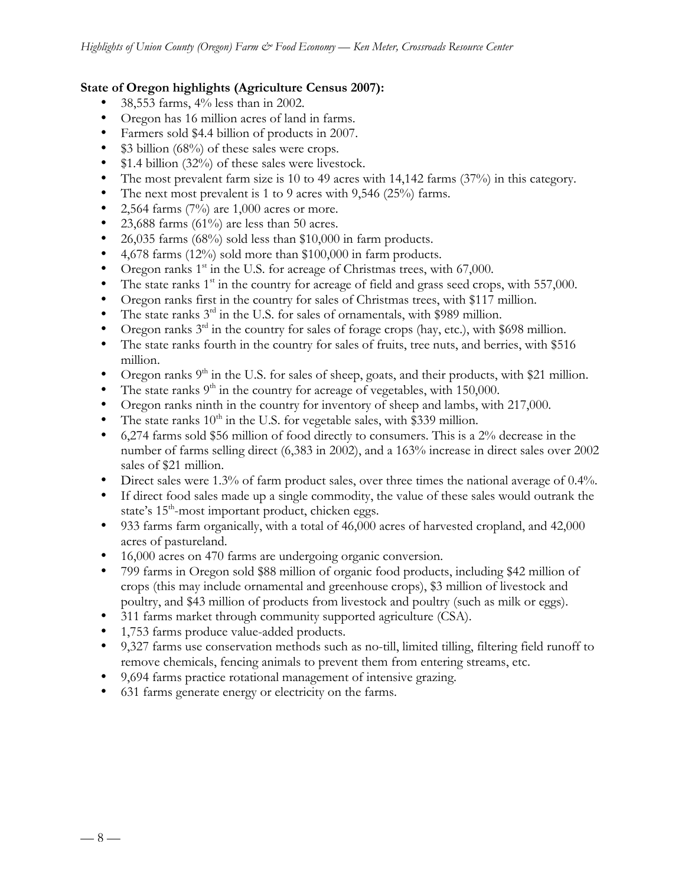#### **State of Oregon highlights (Agriculture Census 2007):**

- 38,553 farms, 4% less than in 2002.
- Oregon has 16 million acres of land in farms.
- Farmers sold \$4.4 billion of products in 2007.
- \$3 billion (68%) of these sales were crops.
- \$1.4 billion (32%) of these sales were livestock.
- The most prevalent farm size is 10 to 49 acres with 14,142 farms (37%) in this category.
- The next most prevalent is 1 to 9 acres with 9,546 (25%) farms.<br>• 2.564 farms  $(7\%)$  are 1.000 acres or more.
- 2,564 farms  $(7%)$  are 1,000 acres or more.
- 23,688 farms (61%) are less than 50 acres.
- 26,035 farms (68%) sold less than \$10,000 in farm products.
- 4,678 farms (12%) sold more than \$100,000 in farm products.
- Oregon ranks  $1<sup>st</sup>$  in the U.S. for acreage of Christmas trees, with 67,000.
- The state ranks  $1<sup>st</sup>$  in the country for acreage of field and grass seed crops, with 557,000.
- Oregon ranks first in the country for sales of Christmas trees, with \$117 million.
- The state ranks  $3<sup>rd</sup>$  in the U.S. for sales of ornamentals, with \$989 million.
- Oregon ranks  $3<sup>rd</sup>$  in the country for sales of forage crops (hay, etc.), with \$698 million.
- The state ranks fourth in the country for sales of fruits, tree nuts, and berries, with \$516 million.
- Oregon ranks  $9<sup>th</sup>$  in the U.S. for sales of sheep, goats, and their products, with \$21 million.
- The state ranks  $9<sup>th</sup>$  in the country for acreage of vegetables, with 150,000.
- Oregon ranks ninth in the country for inventory of sheep and lambs, with 217,000.
- The state ranks  $10^{\text{th}}$  in the U.S. for vegetable sales, with \$339 million.
- 6,274 farms sold \$56 million of food directly to consumers. This is a 2% decrease in the number of farms selling direct (6,383 in 2002), and a 163% increase in direct sales over 2002 sales of \$21 million.
- Direct sales were 1.3% of farm product sales, over three times the national average of 0.4%.
- If direct food sales made up a single commodity, the value of these sales would outrank the state's  $15<sup>th</sup>$ -most important product, chicken eggs.
- 933 farms farm organically, with a total of 46,000 acres of harvested cropland, and 42,000 acres of pastureland.
- 16,000 acres on 470 farms are undergoing organic conversion.
- 799 farms in Oregon sold \$88 million of organic food products, including \$42 million of crops (this may include ornamental and greenhouse crops), \$3 million of livestock and poultry, and \$43 million of products from livestock and poultry (such as milk or eggs).
- 311 farms market through community supported agriculture (CSA).
- 1,753 farms produce value-added products.
- 9,327 farms use conservation methods such as no-till, limited tilling, filtering field runoff to remove chemicals, fencing animals to prevent them from entering streams, etc.
- 9,694 farms practice rotational management of intensive grazing.
- 631 farms generate energy or electricity on the farms.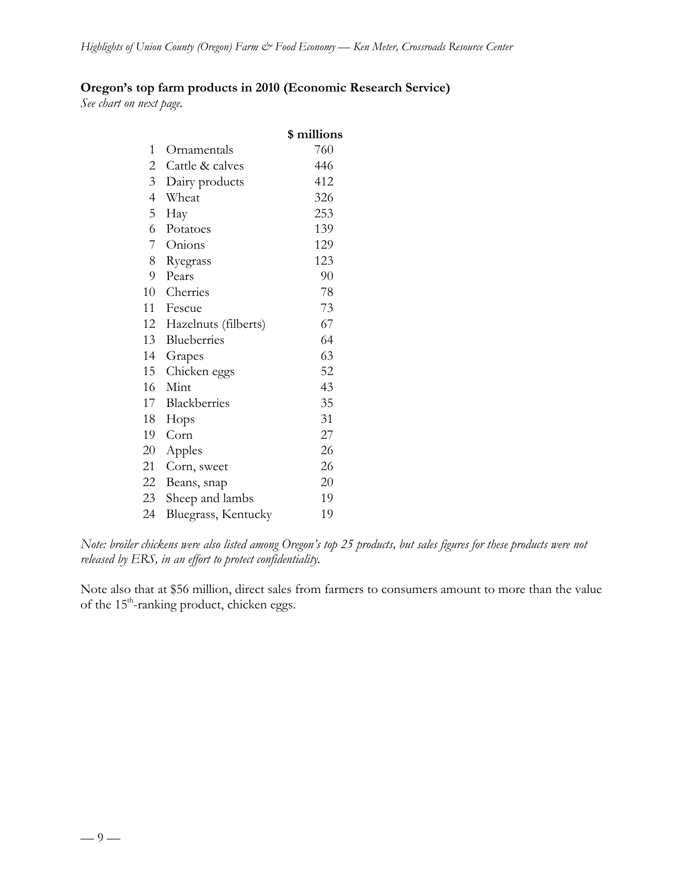# **Oregon's top farm products in 2010 (Economic Research Service)**

*See chart on next page.*

|                      | \$ millions |
|----------------------|-------------|
| Ornamentals          | 760         |
| Cattle & calves      | 446         |
| Dairy products       | 412         |
| Wheat                | 326         |
| Hay                  | 253         |
| Potatoes             | 139         |
| Onions               | 129         |
| Ryegrass             | 123         |
| Pears                | 90          |
| Cherries             | 78          |
| Fescue               | 73          |
| Hazelnuts (filberts) | 67          |
| Blueberries          | 64          |
| Grapes               | 63          |
| Chicken eggs         | 52          |
| Mint                 | 43          |
| Blackberries         | 35          |
| Hops                 | 31          |
| Corn                 | 27          |
| Apples               | 26          |
| Corn, sweet          | 26          |
| Beans, snap          | 20          |
| Sheep and lambs      | 19          |
| Bluegrass, Kentucky  | 19          |
|                      | 22<br>23    |

*Note: broiler chickens were also listed among Oregon's top 25 products, but sales figures for these products were not released by ERS, in an effort to protect confidentiality.*

Note also that at \$56 million, direct sales from farmers to consumers amount to more than the value of the 15<sup>th</sup>-ranking product, chicken eggs.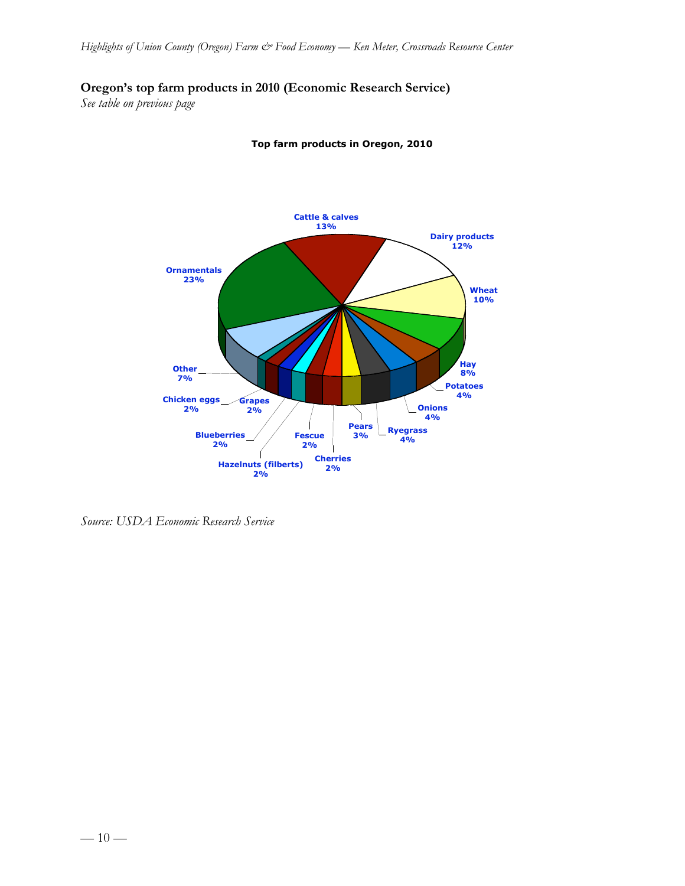# **Oregon's top farm products in 2010 (Economic Research Service)**

*See table on previous page*



**Top farm products in Oregon, 2010**

*Source: USDA Economic Research Service*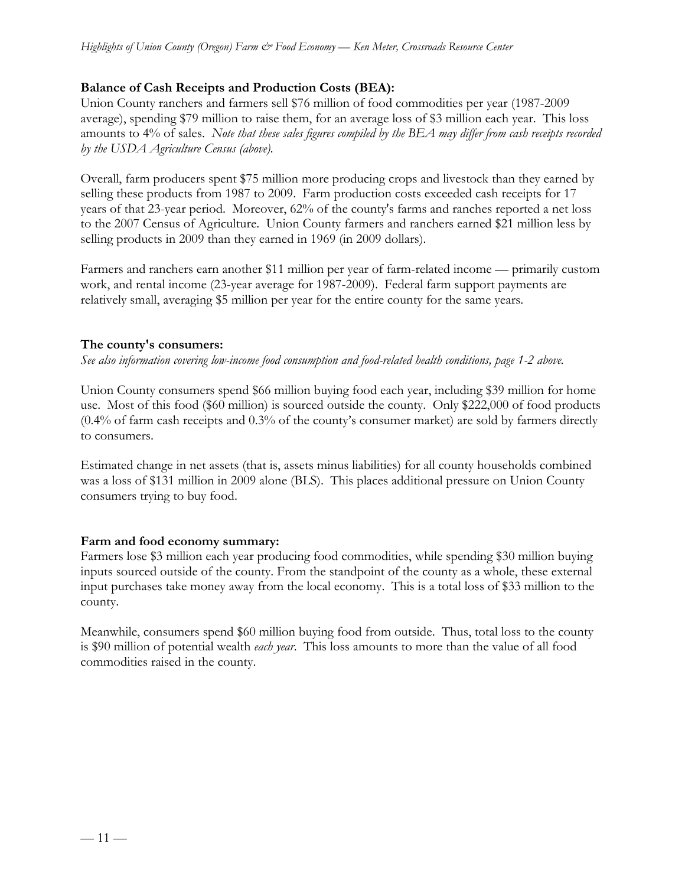# **Balance of Cash Receipts and Production Costs (BEA):**

Union County ranchers and farmers sell \$76 million of food commodities per year (1987-2009 average), spending \$79 million to raise them, for an average loss of \$3 million each year. This loss amounts to 4% of sales. *Note that these sales figures compiled by the BEA may differ from cash receipts recorded by the USDA Agriculture Census (above).*

Overall, farm producers spent \$75 million more producing crops and livestock than they earned by selling these products from 1987 to 2009. Farm production costs exceeded cash receipts for 17 years of that 23-year period. Moreover, 62% of the county's farms and ranches reported a net loss to the 2007 Census of Agriculture. Union County farmers and ranchers earned \$21 million less by selling products in 2009 than they earned in 1969 (in 2009 dollars).

Farmers and ranchers earn another \$11 million per year of farm-related income — primarily custom work, and rental income (23-year average for 1987-2009). Federal farm support payments are relatively small, averaging \$5 million per year for the entire county for the same years.

## **The county's consumers:**

*See also information covering low-income food consumption and food-related health conditions, page 1-2 above.*

Union County consumers spend \$66 million buying food each year, including \$39 million for home use. Most of this food (\$60 million) is sourced outside the county. Only \$222,000 of food products (0.4% of farm cash receipts and 0.3% of the county's consumer market) are sold by farmers directly to consumers.

Estimated change in net assets (that is, assets minus liabilities) for all county households combined was a loss of \$131 million in 2009 alone (BLS). This places additional pressure on Union County consumers trying to buy food.

#### **Farm and food economy summary:**

Farmers lose \$3 million each year producing food commodities, while spending \$30 million buying inputs sourced outside of the county. From the standpoint of the county as a whole, these external input purchases take money away from the local economy. This is a total loss of \$33 million to the county.

Meanwhile, consumers spend \$60 million buying food from outside. Thus, total loss to the county is \$90 million of potential wealth *each year*. This loss amounts to more than the value of all food commodities raised in the county.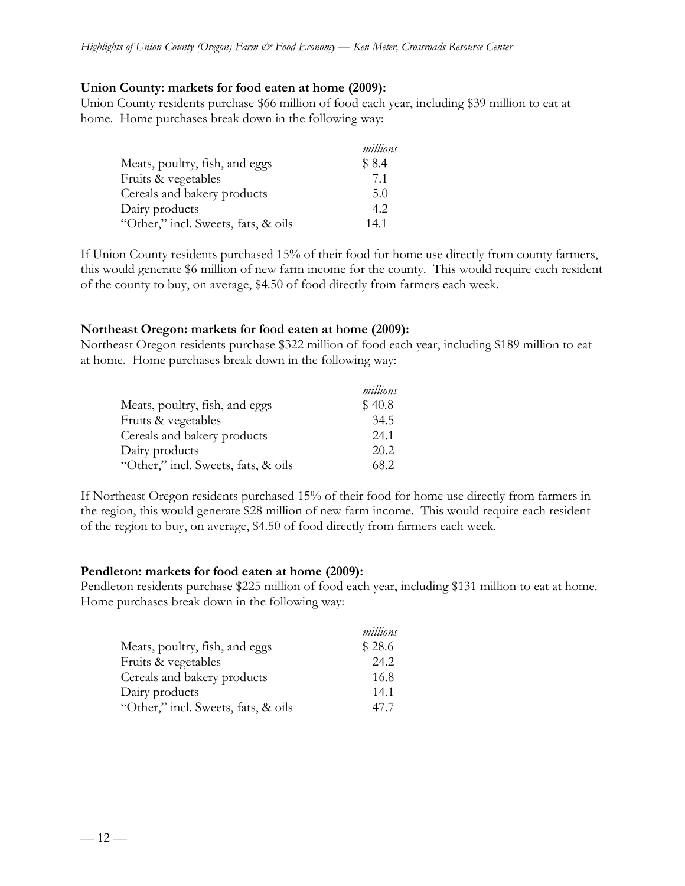#### **Union County: markets for food eaten at home (2009):**

Union County residents purchase \$66 million of food each year, including \$39 million to eat at home. Home purchases break down in the following way:

|                                     | millions |
|-------------------------------------|----------|
| Meats, poultry, fish, and eggs      | \$8.4    |
| Fruits & vegetables                 | 7.1      |
| Cereals and bakery products         | 5.0      |
| Dairy products                      | 4.2      |
| "Other," incl. Sweets, fats, & oils | 14.1     |

If Union County residents purchased 15% of their food for home use directly from county farmers, this would generate \$6 million of new farm income for the county. This would require each resident of the county to buy, on average, \$4.50 of food directly from farmers each week.

## **Northeast Oregon: markets for food eaten at home (2009):**

Northeast Oregon residents purchase \$322 million of food each year, including \$189 million to eat at home. Home purchases break down in the following way:

|                                     | millions |
|-------------------------------------|----------|
| Meats, poultry, fish, and eggs      | \$40.8   |
| Fruits & vegetables                 | 34.5     |
| Cereals and bakery products         | 24.1     |
| Dairy products                      | 20.2     |
| "Other," incl. Sweets, fats, & oils | 68.2     |

If Northeast Oregon residents purchased 15% of their food for home use directly from farmers in the region, this would generate \$28 million of new farm income. This would require each resident of the region to buy, on average, \$4.50 of food directly from farmers each week.

#### **Pendleton: markets for food eaten at home (2009):**

Pendleton residents purchase \$225 million of food each year, including \$131 million to eat at home. Home purchases break down in the following way:

|                                     | millions |
|-------------------------------------|----------|
| Meats, poultry, fish, and eggs      | \$28.6   |
| Fruits & vegetables                 | 24.2     |
| Cereals and bakery products         | 16.8     |
| Dairy products                      | 14.1     |
| "Other," incl. Sweets, fats, & oils | 47.7     |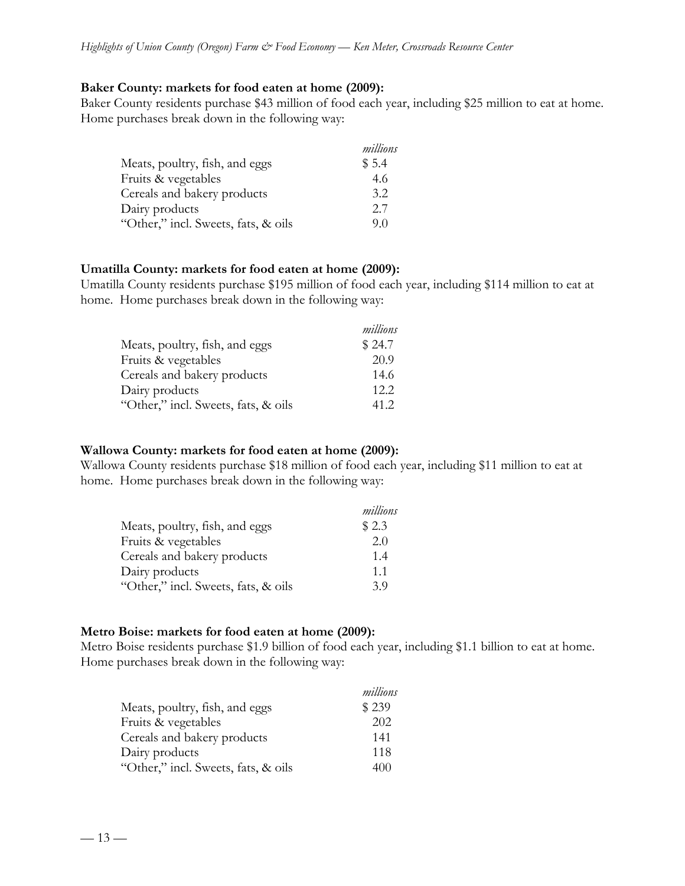## **Baker County: markets for food eaten at home (2009):**

Baker County residents purchase \$43 million of food each year, including \$25 million to eat at home. Home purchases break down in the following way:

|                                     | millions |
|-------------------------------------|----------|
| Meats, poultry, fish, and eggs      | \$5.4    |
| Fruits & vegetables                 | 4.6      |
| Cereals and bakery products         | 3.2      |
| Dairy products                      | 2.7      |
| "Other," incl. Sweets, fats, & oils | 90       |

## **Umatilla County: markets for food eaten at home (2009):**

Umatilla County residents purchase \$195 million of food each year, including \$114 million to eat at home. Home purchases break down in the following way:

|                                     | millions |
|-------------------------------------|----------|
| Meats, poultry, fish, and eggs      | \$24.7   |
| Fruits & vegetables                 | 20.9     |
| Cereals and bakery products         | 14.6     |
| Dairy products                      | 12.2.    |
| "Other," incl. Sweets, fats, & oils | 41.2     |

# **Wallowa County: markets for food eaten at home (2009):**

Wallowa County residents purchase \$18 million of food each year, including \$11 million to eat at home. Home purchases break down in the following way:

|                                     | millions |
|-------------------------------------|----------|
| Meats, poultry, fish, and eggs      | \$2.3    |
| Fruits & vegetables                 | 2.0      |
| Cereals and bakery products         | 1.4      |
| Dairy products                      | 11       |
| "Other," incl. Sweets, fats, & oils | 39       |

# **Metro Boise: markets for food eaten at home (2009):**

Metro Boise residents purchase \$1.9 billion of food each year, including \$1.1 billion to eat at home. Home purchases break down in the following way:

|                                     | millions |
|-------------------------------------|----------|
| Meats, poultry, fish, and eggs      | \$239    |
| Fruits & vegetables                 | 202      |
| Cereals and bakery products         | 141      |
| Dairy products                      | 118      |
| "Other," incl. Sweets, fats, & oils | 400      |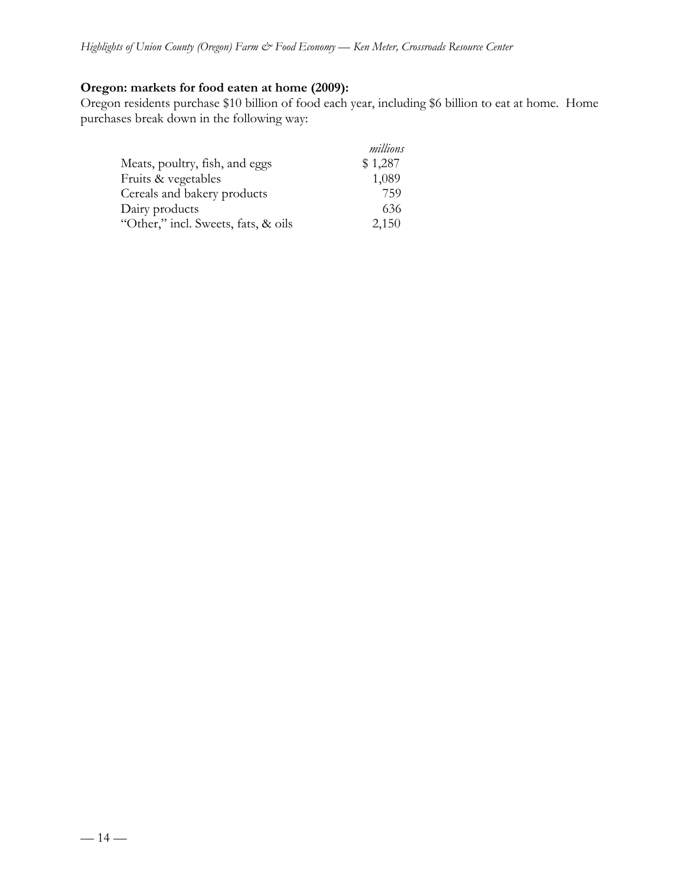# **Oregon: markets for food eaten at home (2009):**

Oregon residents purchase \$10 billion of food each year, including \$6 billion to eat at home. Home purchases break down in the following way:

|                                     | millions |
|-------------------------------------|----------|
| Meats, poultry, fish, and eggs      | \$1,287  |
| Fruits & vegetables                 | 1,089    |
| Cereals and bakery products         | 759      |
| Dairy products                      | 636      |
| "Other," incl. Sweets, fats, & oils | 2,150    |